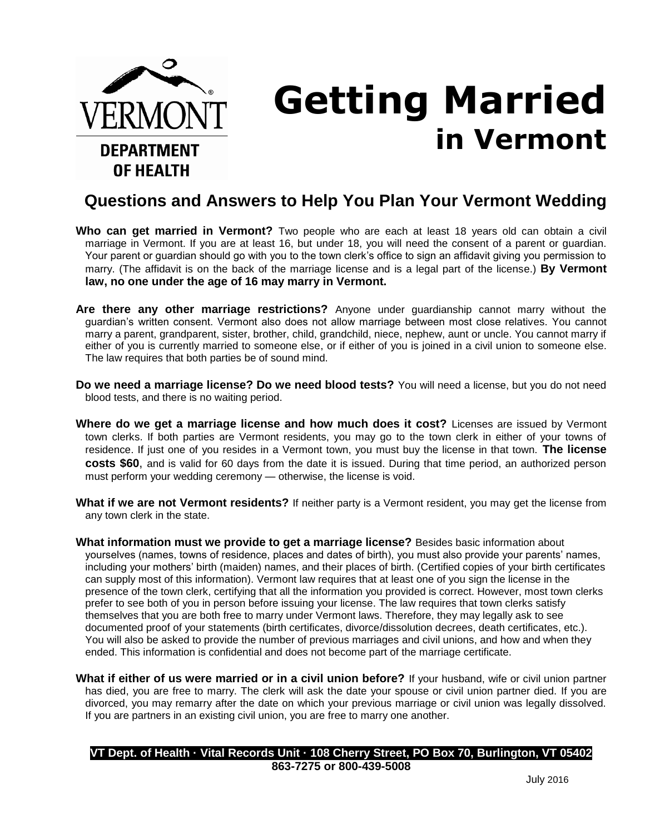

## **Getting Married in Vermont**

## **Questions and Answers to Help You Plan Your Vermont Wedding**

- **Who can get married in Vermont?** Two people who are each at least 18 years old can obtain a civil marriage in Vermont. If you are at least 16, but under 18, you will need the consent of a parent or guardian. Your parent or guardian should go with you to the town clerk's office to sign an affidavit giving you permission to marry. (The affidavit is on the back of the marriage license and is a legal part of the license.) **By Vermont law, no one under the age of 16 may marry in Vermont.**
- **Are there any other marriage restrictions?** Anyone under guardianship cannot marry without the guardian's written consent. Vermont also does not allow marriage between most close relatives. You cannot marry a parent, grandparent, sister, brother, child, grandchild, niece, nephew, aunt or uncle. You cannot marry if either of you is currently married to someone else, or if either of you is joined in a civil union to someone else. The law requires that both parties be of sound mind.
- **Do we need a marriage license? Do we need blood tests?** You will need a license, but you do not need blood tests, and there is no waiting period.
- **Where do we get a marriage license and how much does it cost?** Licenses are issued by Vermont town clerks. If both parties are Vermont residents, you may go to the town clerk in either of your towns of residence. If just one of you resides in a Vermont town, you must buy the license in that town. **The license costs \$60**, and is valid for 60 days from the date it is issued. During that time period, an authorized person must perform your wedding ceremony — otherwise, the license is void.
- **What if we are not Vermont residents?** If neither party is a Vermont resident, you may get the license from any town clerk in the state.
- **What information must we provide to get a marriage license?** Besides basic information about yourselves (names, towns of residence, places and dates of birth), you must also provide your parents' names, including your mothers' birth (maiden) names, and their places of birth. (Certified copies of your birth certificates can supply most of this information). Vermont law requires that at least one of you sign the license in the presence of the town clerk, certifying that all the information you provided is correct. However, most town clerks prefer to see both of you in person before issuing your license. The law requires that town clerks satisfy themselves that you are both free to marry under Vermont laws. Therefore, they may legally ask to see documented proof of your statements (birth certificates, divorce/dissolution decrees, death certificates, etc.). You will also be asked to provide the number of previous marriages and civil unions, and how and when they ended. This information is confidential and does not become part of the marriage certificate.
- **What if either of us were married or in a civil union before?** If your husband, wife or civil union partner has died, you are free to marry. The clerk will ask the date your spouse or civil union partner died. If you are divorced, you may remarry after the date on which your previous marriage or civil union was legally dissolved. If you are partners in an existing civil union, you are free to marry one another.

|                          | VT Dept. of Health · Vital Records Unit · 108 Cherry Street, PO Box 70, Burlington, VT 05402 |  |  |  |  |
|--------------------------|----------------------------------------------------------------------------------------------|--|--|--|--|
| 863-7275 or 800-439-5008 |                                                                                              |  |  |  |  |